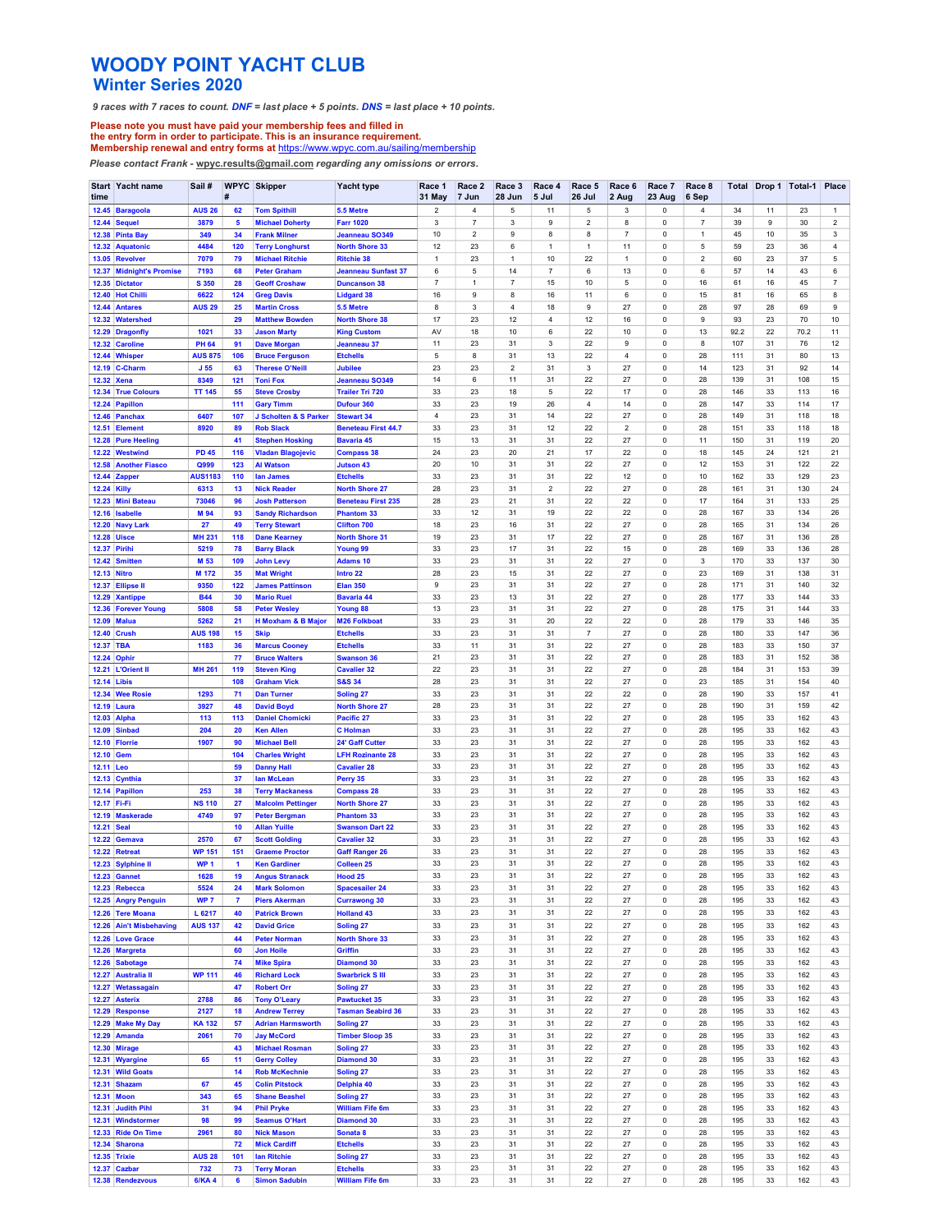## WOODY POINT YACHT CLUB<br>Winter Series 2020

| <b>WOODY POINT YACHT CLUB</b><br><b>Winter Series 2020</b><br>9 races with 7 races to count. DNF = last place $+5$ points. DNS = last place $+10$ points.<br>Please note you must have paid your membership fees and filled in<br>the entry form in order to participate. This is an insurance requirement. |                       |                |                                                      |                                             |                         |                 |                  |                     |                  |                 |                            |                         |            |          |                |                         |
|-------------------------------------------------------------------------------------------------------------------------------------------------------------------------------------------------------------------------------------------------------------------------------------------------------------|-----------------------|----------------|------------------------------------------------------|---------------------------------------------|-------------------------|-----------------|------------------|---------------------|------------------|-----------------|----------------------------|-------------------------|------------|----------|----------------|-------------------------|
|                                                                                                                                                                                                                                                                                                             |                       |                |                                                      |                                             |                         |                 |                  |                     |                  |                 |                            |                         |            |          |                |                         |
|                                                                                                                                                                                                                                                                                                             |                       |                |                                                      |                                             |                         |                 |                  |                     |                  |                 |                            |                         |            |          |                |                         |
|                                                                                                                                                                                                                                                                                                             |                       |                |                                                      |                                             |                         |                 |                  |                     |                  |                 |                            |                         |            |          |                |                         |
|                                                                                                                                                                                                                                                                                                             |                       |                |                                                      |                                             |                         |                 |                  |                     |                  |                 |                            |                         |            |          |                |                         |
|                                                                                                                                                                                                                                                                                                             |                       |                |                                                      |                                             |                         |                 |                  |                     |                  |                 |                            |                         |            |          |                |                         |
|                                                                                                                                                                                                                                                                                                             |                       |                |                                                      |                                             |                         |                 |                  |                     |                  |                 |                            |                         |            |          |                |                         |
|                                                                                                                                                                                                                                                                                                             |                       |                |                                                      |                                             |                         |                 |                  |                     |                  |                 |                            |                         |            |          |                |                         |
| Membership renewal and entry forms at https://www.wpyc.com.au/sailing/membership                                                                                                                                                                                                                            |                       |                |                                                      |                                             |                         |                 |                  |                     |                  |                 |                            |                         |            |          |                |                         |
| Please contact Frank - wpyc.results@gmail.com regarding any omissions or errors.                                                                                                                                                                                                                            |                       |                |                                                      |                                             |                         |                 |                  |                     |                  |                 |                            |                         |            |          |                |                         |
| Start Yacht name<br>time                                                                                                                                                                                                                                                                                    | Sail#                 | #              | <b>WPYC</b> Skipper                                  | Yacht type                                  | Race 1<br><b>31 May</b> | Race 2<br>7 Jun | Race 3<br>28 Jun | Race 4<br>5 Jul     | Race 5<br>26 Jul | Race 6<br>2 Aug | Race 7<br>23 Aug           | Race 8<br>6 Sep         | Total      |          | Drop 1 Total-1 | Place                   |
| 12.45 Baragoola                                                                                                                                                                                                                                                                                             | <b>AUS 26</b>         | 62             | <b>Tom Spithill</b>                                  | 5.5 Metre                                   | $\overline{2}$          | $\overline{4}$  | 5                | 11                  | 5                | 3               | $\mathbf 0$                | $\overline{4}$          | 34         | 11       | 23             | $\mathbf{1}$            |
| 12.44 Sequel                                                                                                                                                                                                                                                                                                | 3879                  | 5              | <b>Michael Doherty</b>                               | <b>Farr 1020</b>                            | 3                       | $\overline{7}$  | 3                | 9                   | $\overline{2}$   | 8               | $\mathsf 0$                | $\overline{7}$          | 39         | 9        | 30             | $\overline{2}$          |
| 12.38 Pinta Bay                                                                                                                                                                                                                                                                                             | 349                   | 34             | <b>Frank Milner</b>                                  | Jeanneau SO349                              | 10                      | $\overline{2}$  | $\mathsf g$      | 8                   | 8                | $\overline{7}$  | $\mathsf 0$                | $\mathbf{1}$            | 45         | 10       | 35             | 3                       |
| 12.32 Aquatonic                                                                                                                                                                                                                                                                                             | 4484                  | 120            | <b>Terry Longhurst</b>                               | <b>North Shore 33</b>                       | 12                      | 23              | 6                | $\mathbf{1}$        | $\mathbf{1}$     | 11              | $\mathsf 0$                | 5                       | 59         | 23       | 36             | $\overline{\mathbf{4}}$ |
| 13.05 Revolver                                                                                                                                                                                                                                                                                              | 7079                  | 79             | <b>Michael Ritchie</b>                               | <b>Ritchie 38</b>                           | $\mathbf{1}$            | 23              | $\overline{1}$   | 10                  | 22               | $\mathbf{1}$    | 0                          | $\overline{\mathbf{c}}$ | 60         | 23       | 37             | 5                       |
| 12.37 Midnight's Promise                                                                                                                                                                                                                                                                                    | 7193                  | 68             | <b>Peter Graham</b>                                  | <b>Jeanneau Sunfast 37</b>                  | 6                       | 5               | 14               | $\overline{7}$      | 6                | 13              | 0                          | 6                       | 57         | 14       | 43             | 6                       |
| 12.35 Dictator                                                                                                                                                                                                                                                                                              | S 350                 | 28             | <b>Geoff Croshaw</b>                                 | <b>Duncanson 38</b>                         | $\overline{7}$          | $\mathbf{1}$    | $\overline{7}$   | 15                  | 10               | 5               | 0                          | 16                      | 61         | 16       | 45             | $\overline{7}$          |
| 12.40 Hot Chilli                                                                                                                                                                                                                                                                                            | 6622                  | 124            | <b>Greg Davis</b>                                    | <b>Lidgard 38</b>                           | 16                      | 9               | 8                | 16                  | 11               | 6               | $\mathsf 0$                | 15                      | 81         | 16       | 65             | 8                       |
| 12.44 Antares                                                                                                                                                                                                                                                                                               | <b>AUS 29</b>         | 25             | <b>Martin Cross</b>                                  | 5.5 Metre                                   | 8                       | 3               | $\overline{4}$   | 18                  | 9                | 27              | $\mathsf 0$                | 28                      | 97         | 28       | 69             | 9                       |
| 12.32 Watershed                                                                                                                                                                                                                                                                                             | 1021                  | 29<br>33       | <b>Matthew Bowden</b>                                | <b>North Shore 38</b><br><b>King Custom</b> | 17<br>AV                | 23<br>18        | 12<br>10         | $\overline{4}$<br>6 | 12<br>22         | 16<br>10        | $\mathsf 0$<br>0           | 9<br>13                 | 93<br>92.2 | 23<br>22 | 70<br>70.2     | 10<br>11                |
| 12.29 Dragonfly<br>12.32 Caroline                                                                                                                                                                                                                                                                           | <b>PH 64</b>          | 91             | <b>Jason Marty</b><br><b>Dave Morgan</b>             | Jeanneau 37                                 | 11                      | 23              | 31               | 3                   | 22               | 9               | 0                          | 8                       | 107        | 31       | 76             | 12                      |
| 12.44 Whisper                                                                                                                                                                                                                                                                                               | <b>AUS 875</b>        | 106            | <b>Bruce Ferguson</b>                                | <b>Etchells</b>                             | 5                       | 8               | 31               | 13                  | 22               | 4               | $\mathsf 0$                | 28                      | 111        | 31       | 80             | 13                      |
| 12.19 C-Charm                                                                                                                                                                                                                                                                                               | J <sub>55</sub>       | 63             | <b>Therese O'Neill</b>                               | <b>Jubilee</b>                              | 23                      | 23              | $\sqrt{2}$       | 31                  | 3                | 27              | $\mathsf 0$                | 14                      | 123        | 31       | 92             | 14                      |
| 12.32 Xena                                                                                                                                                                                                                                                                                                  | 8349                  | 121            | <b>Toni Fox</b>                                      | Jeanneau SO349                              | 14                      | 6               | 11               | 31                  | 22               | 27              | $\mathsf 0$                | 28                      | 139        | 31       | 108            | 15                      |
| 12.34 True Colours                                                                                                                                                                                                                                                                                          | <b>TT 145</b>         | 55             | <b>Steve Crosby</b>                                  | <b>Trailer Tri 720</b>                      | 33                      | 23              | 18               | 5                   | 22               | 17              | $\mathbf 0$                | 28                      | 146        | 33       | 113            | 16                      |
| 12.24 Papillon                                                                                                                                                                                                                                                                                              | 6407                  | 111            | <b>Gary Timm</b>                                     | Dufour 360                                  | 33                      | 23              | 19               | 26                  | $\overline{4}$   | 14              | $\mathsf 0$                | 28                      | 147        | 33       | 114            | 17                      |
| 12.46 Panchax                                                                                                                                                                                                                                                                                               | 8920                  | 107            | J Scholten & S Parker                                | <b>Stewart 34</b>                           | 4                       | 23              | 31               | 14                  | 22               | 27              | 0                          | 28                      | 149        | 31       | 118            | 18                      |
| 12.51 Element                                                                                                                                                                                                                                                                                               |                       | 89             | <b>Rob Slack</b>                                     | <b>Beneteau First 44.7</b>                  | 33                      | 23              | 31               | 12                  | 22               | $\overline{c}$  | $\mathsf 0$                | 28                      | 151        | 33       | 118            | 18                      |
| 12.28 Pure Heeling                                                                                                                                                                                                                                                                                          | <b>PD 45</b>          | 41             | <b>Stephen Hosking</b>                               | Bavaria 45                                  | 15                      | 13              | 31               | 31                  | 22               | 27              | $\mathsf 0$                | 11                      | 150        | 31       | 119            | 20                      |
| 12.22 Westwind                                                                                                                                                                                                                                                                                              |                       | 116            | <b>Vladan Blagojevic</b>                             | <b>Compass 38</b>                           | 24                      | 23              | 20               | 21                  | 17               | 22              | $\mathsf 0$                | 18                      | 145        | 24       | 121            | 21                      |
| 12.58 Another Fiasco                                                                                                                                                                                                                                                                                        | Q999                  | 123            | <b>Al Watson</b>                                     | <b>Jutson 43</b>                            | $20\,$                  | 10              | 31               | 31                  | 22               | 27              | 0                          | 12                      | 153        | 31       | 122            | 22                      |
| 12.44 Zapper                                                                                                                                                                                                                                                                                                | <b>AUS1183</b>        | 110            | lan James                                            | <b>Etchells</b>                             | 33                      | 23              | 31               | 31                  | 22               | 12              | $\mathbf 0$                | 10                      | 162        | 33       | 129            | 23                      |
| <b>12.24 Killy</b>                                                                                                                                                                                                                                                                                          | 6313                  | 13             | <b>Nick Reader</b>                                   | <b>North Shore 27</b>                       | 28                      | 23              | 31               | $\overline{2}$      | 22               | $27\,$          | $\mathsf 0$                | 28                      | 161        | 31       | 130            | 24<br>25                |
| 12.23 Mini Bateau                                                                                                                                                                                                                                                                                           | 73046                 | 96             | <b>Josh Patterson</b>                                | <b>Beneteau First 235</b>                   | 28                      | 23              | 21               | 31                  | 22               | 22              | $\mathsf 0$                | 17                      | 164        | 31       | 133            | 26                      |
| 12.16 Isabelle                                                                                                                                                                                                                                                                                              | M 94                  | 93             | <b>Sandy Richardson</b>                              | <b>Phantom 33</b>                           | 33                      | 12              | 31               | 19                  | 22               | 22              | $\mathsf 0$                | 28                      | 167        | 33       | 134            |                         |
| 12.20 Navy Lark                                                                                                                                                                                                                                                                                             | 27                    | 49             | <b>Terry Stewart</b>                                 | <b>Clifton 700</b>                          | 18                      | 23              | 16               | 31                  | 22               | 27              | $\mathsf 0$                | 28                      | 165        | 31       | 134            | 26                      |
| <b>12.28 Uisce</b>                                                                                                                                                                                                                                                                                          | <b>MH 231</b>         | 118            | <b>Dane Kearney</b>                                  | <b>North Shore 31</b>                       | 19                      | 23              | 31               | 17                  | 22               | 27              | 0                          | 28                      | 167        | 31       | 136            | 28                      |
| <b>12.37 Pirihi</b>                                                                                                                                                                                                                                                                                         | 5219                  | 78             | <b>Barry Black</b>                                   | Young 99                                    | 33                      | 23              | 17               | 31                  | 22               | 15              | $\mathsf 0$                | 28                      | 169        | 33       | 136            | 28                      |
| 12.42 Smitten                                                                                                                                                                                                                                                                                               | M 53                  | 109            | <b>John Levy</b>                                     | <b>Adams 10</b>                             | 33                      | 23              | 31               | 31                  | 22               | 27              | $\mathbf 0$                | 3                       | 170        | 33       | 137            | 30                      |
| <b>12.13 Nitro</b>                                                                                                                                                                                                                                                                                          | M 172                 | 35             | <b>Mat Wright</b>                                    | Intro 22                                    | 28                      | 23              | 15               | 31                  | 22               | 27              | $\mathsf 0$                | 23                      | 169        | 31       | 138            | 31                      |
| 12.37 Ellipse II                                                                                                                                                                                                                                                                                            | 9350                  | 122            | <b>James Pattinson</b>                               | <b>Elan 350</b>                             | 9                       | 23              | 31               | 31                  | 22               | 27              | $\mathsf 0$                | 28                      | 171        | 31       | 140            | 32                      |
| 12.29 Xantippe                                                                                                                                                                                                                                                                                              | <b>B44</b>            | 30             | <b>Mario Ruel</b>                                    | <b>Bavaria 44</b>                           | 33                      | 23              | 13               | 31                  | 22               | 27              | $\mathsf 0$<br>$\mathsf 0$ | 28                      | 177        | 33<br>31 | 144            | 33                      |
| 12.36 Forever Young<br>12.09 Malua                                                                                                                                                                                                                                                                          | 5808<br>5262          | 58<br>21       | <b>Peter Wesley</b><br><b>H Moxham &amp; B Major</b> | Young 88<br><b>M26 Folkboat</b>             | 13<br>33                | 23<br>23        | 31<br>31         | 31<br>20            | 22<br>22         | 27<br>22        | 0                          | 28<br>28                | 175<br>179 | 33       | 144<br>146     | 33<br>35                |
| <b>12.40 Crush</b>                                                                                                                                                                                                                                                                                          | <b>AUS 198</b>        | 15             | <b>Skip</b>                                          | <b>Etchells</b>                             | 33                      | 23              | 31               | 31                  | $\overline{7}$   | $27\,$          | $\mathsf 0$                | 28                      | 180        | 33       | 147            | 36                      |
| 12.37 TBA                                                                                                                                                                                                                                                                                                   | 1183                  | 36             | <b>Marcus Cooney</b>                                 | <b>Etchells</b>                             | 33                      | 11              | 31               | 31                  | 22               | 27              | $\mathsf 0$                | 28                      | 183        | 33       | 150            | 37                      |
| 12.24 Ophir                                                                                                                                                                                                                                                                                                 | <b>MH 261</b>         | 77             | <b>Bruce Walters</b>                                 | <b>Swanson 36</b>                           | 21                      | 23              | 31               | 31                  | 22               | 27              | $\mathsf 0$                | 28                      | 183        | 31       | 152            | 38                      |
| 12.21 L'Orient II                                                                                                                                                                                                                                                                                           |                       | 119            | <b>Steven King</b>                                   | <b>Cavalier 32</b>                          | 22                      | 23              | 31               | 31                  | 22               | 27              | 0                          | 28                      | 184        | 31       | 153            | 39                      |
| <b>12.14 Libis</b>                                                                                                                                                                                                                                                                                          | 1293                  | 108            | <b>Graham Vick</b>                                   | <b>S&amp;S 34</b>                           | 28                      | 23              | 31               | 31                  | 22               | 27              | 0                          | 23                      | 185        | 31       | 154            | 40                      |
| 12.34 Wee Rosie                                                                                                                                                                                                                                                                                             |                       | 71             | <b>Dan Turner</b>                                    | <b>Soling 27</b>                            | 33                      | 23              | 31               | 31                  | 22               | 22              | $\mathsf 0$                | 28                      | 190        | 33       | 157            | 41                      |
| <b>12.19 Laura</b>                                                                                                                                                                                                                                                                                          | 3927                  | 48             | <b>David Boyd</b>                                    | <b>North Shore 27</b>                       | 28                      | 23              | 31               | 31                  | 22               | 27              | $\mathsf 0$                | 28                      | 190        | 31       | 159            | 42                      |
| 12.03 Alpha                                                                                                                                                                                                                                                                                                 | 113                   | 113            | <b>Daniel Chomicki</b>                               | Pacific 27                                  | 33                      | 23              | 31               | 31                  | 22               | 27              | $\mathsf 0$                | 28                      | 195        | 33       | 162            | 43                      |
| 12.09 Sinbad                                                                                                                                                                                                                                                                                                | 204                   | 20             | <b>Ken Allen</b>                                     | <b>C</b> Holman                             | 33                      | 23              | 31               | 31                  | 22               | 27              | $\mathsf 0$                | 28                      | 195        | 33       | 162            | 43                      |
| 12.10 Florrie                                                                                                                                                                                                                                                                                               | 1907                  | 90             | <b>Michael Bell</b>                                  | 24' Gaff Cutter                             | 33                      | 23              | 31               | 31                  | 22               | 27              | 0                          | 28                      | 195        | 33       | 162            | 43                      |
| 12.10 Gem                                                                                                                                                                                                                                                                                                   |                       | 104            | <b>Charles Wright</b>                                | <b>LFH Rozinante 28</b>                     | 33                      | 23              | 31               | 31                  | 22               | 27              | $\mathsf 0$                | 28                      | 195        | 33       | 162            | 43                      |
| 12.11 Leo                                                                                                                                                                                                                                                                                                   |                       | 59             | <b>Danny Hall</b>                                    | <b>Cavalier 28</b>                          | 33                      | 23              | 31               | 31                  | 22               | 27              | $\mathsf 0$                | 28                      | 195        | 33       | 162            | 43                      |
| 12.13 Cynthia                                                                                                                                                                                                                                                                                               |                       | 37             | lan McLean                                           | Perry 35                                    | 33                      | 23              | 31               | 31                  | 22               | 27              | $\mathsf 0$                | 28                      | 195        | 33       | 162            | 43                      |
| 12.14 Papillon<br>12.17 Fi-Fi                                                                                                                                                                                                                                                                               | 253                   | 38             | <b>Terry Mackaness</b>                               | <b>Compass 28</b>                           | 33                      | 23              | 31               | 31                  | 22               | 27              | 0                          | 28                      | 195        | 33       | 162            | 43<br>43                |
| 12.19 Maskerade                                                                                                                                                                                                                                                                                             | <b>NS 110</b><br>4749 | 27<br>97       | <b>Malcolm Pettinger</b><br><b>Peter Bergman</b>     | <b>North Shore 27</b><br>Phantom 33         | 33<br>33                | 23<br>23        | 31<br>31         | 31<br>31            | 22<br>22         | 27<br>27        | 0<br>$\mathsf 0$           | 28<br>28                | 195<br>195 | 33<br>33 | 162<br>162     | 43                      |
| 12.21 Seal                                                                                                                                                                                                                                                                                                  | 2570                  | 10             | <b>Allan Yuille</b>                                  | <b>Swanson Dart 22</b>                      | 33                      | 23              | 31               | 31                  | 22               | $27\,$          | $\mathsf 0$                | 28                      | 195        | 33       | 162            | 43                      |
| 12.22 Gemava                                                                                                                                                                                                                                                                                                |                       | 67             | <b>Scott Golding</b>                                 | <b>Cavalier 32</b>                          | 33                      | 23              | 31               | 31                  | 22               | 27              | $\mathsf 0$                | 28                      | 195        | 33       | 162            | 43                      |
| 12.22 Retreat                                                                                                                                                                                                                                                                                               | <b>WP 151</b>         | 151            | <b>Graeme Proctor</b>                                | <b>Gaff Ranger 26</b>                       | 33                      | 23              | 31               | 31                  | 22               | 27              | $\mathsf 0$                | 28                      | 195        | 33       | 162            | 43                      |
| 12.23 Sylphine II                                                                                                                                                                                                                                                                                           | WP <sub>1</sub>       | $\mathbf{1}$   | <b>Ken Gardiner</b>                                  | Colleen <sub>25</sub>                       | 33                      | 23              | 31               | 31                  | 22               | 27              | 0                          | 28                      | 195        | 33       | 162            | 43                      |
| 12.23 Gannet                                                                                                                                                                                                                                                                                                | 1628                  | 19             | <b>Angus Stranack</b>                                | <b>Hood 25</b>                              | 33                      | 23              | 31               | 31                  | 22               | 27              | $\mathsf 0$                | 28                      | 195        | 33       | 162            | 43                      |
| 12.23 Rebecca                                                                                                                                                                                                                                                                                               | 5524                  | 24             | <b>Mark Solomon</b>                                  | <b>Spacesailer 24</b>                       | 33                      | 23              | 31               | 31                  | 22               | 27              | $\mathsf 0$                | 28                      | 195        | 33       | 162            | 43                      |
| 12.25 Angry Penguin                                                                                                                                                                                                                                                                                         | WP <sub>7</sub>       | $\overline{7}$ | <b>Piers Akerman</b>                                 | <b>Currawong 30</b>                         | 33                      | 23              | 31               | 31                  | 22               | 27              | $\mathsf 0$                | 28                      | 195        | 33       | 162            | 43                      |
| 12.26 Tere Moana                                                                                                                                                                                                                                                                                            | L 6217                | 40             | <b>Patrick Brown</b>                                 | <b>Holland 43</b>                           | 33                      | 23              | 31               | 31                  | 22               | 27              | $\mathsf 0$                | 28                      | 195        | 33       | 162            | 43                      |
| 12.26 Ain't Misbehaving                                                                                                                                                                                                                                                                                     | <b>AUS 137</b>        | 42             | <b>David Grice</b>                                   | <b>Soling 27</b>                            | 33                      | 23              | 31               | 31                  | 22               | 27              | $\mathsf 0$                | 28                      | 195        | 33       | 162            | 43                      |
| 12.26 Love Grace                                                                                                                                                                                                                                                                                            |                       | 44             | <b>Peter Norman</b>                                  | <b>North Shore 33</b>                       | 33<br>33                | 23              | 31               | 31<br>31            | 22               | 27              | 0                          | 28                      | 195        | 33       | 162            | 43                      |
| 12.26 Margreta<br>12.26 Sabotage                                                                                                                                                                                                                                                                            |                       | 60<br>74       | <b>Jon Hoile</b><br><b>Mike Spira</b>                | Griffin<br><b>Diamond 30</b>                | 33                      | 23<br>23        | 31<br>31         | 31                  | 22<br>22         | 27<br>27        | $\mathsf 0$<br>$\mathsf 0$ | 28<br>28                | 195<br>195 | 33<br>33 | 162<br>162     | 43<br>43                |
| 12.27 Australia II                                                                                                                                                                                                                                                                                          | <b>WP 111</b>         | 46             | <b>Richard Lock</b>                                  | <b>Swarbrick S III</b>                      | 33                      | 23              | 31               | 31                  | 22               | 27              | $\mathsf 0$                | 28                      | 195        | 33       | 162            | 43                      |
| 12.27 Wetassagain                                                                                                                                                                                                                                                                                           |                       | 47             | <b>Robert Orr</b>                                    | <b>Soling 27</b>                            | 33                      | 23              | 31               | 31                  | 22               | 27              | 0                          | 28                      | 195        | 33       | 162            | 43                      |
| 12.27 Asterix                                                                                                                                                                                                                                                                                               | 2788                  | 86             | <b>Tony O'Leary</b>                                  | <b>Pawtucket 35</b>                         | 33                      | 23              | 31               | 31                  | 22               | 27              | 0                          | 28                      | 195        | 33       | 162            | 43                      |
| 12.29 Response                                                                                                                                                                                                                                                                                              | 2127                  | 18             | <b>Andrew Terrey</b>                                 | <b>Tasman Seabird 36</b>                    | 33                      | 23              | 31               | 31                  | 22               | 27              | $\mathsf 0$                | 28                      | 195        | 33       | 162            | 43                      |
| 12.29 Make My Day                                                                                                                                                                                                                                                                                           | <b>KA132</b>          | 57             | <b>Adrian Harmsworth</b>                             | Soling 27                                   | 33                      | 23              | 31               | 31                  | 22               | $27\,$          | $\mathsf 0$                | 28                      | 195        | 33       | 162            | 43                      |
| 12.29 Amanda                                                                                                                                                                                                                                                                                                | 2061                  | 70             | <b>Jay McCord</b>                                    | <b>Timber Sloop 35</b>                      | 33                      | 23              | 31               | 31                  | 22               | 27              | $\mathsf 0$                | 28                      | 195        | 33       | 162            | 43                      |
| <b>12.30 Mirage</b>                                                                                                                                                                                                                                                                                         |                       | 43             | <b>Michael Rosman</b>                                | <b>Soling 27</b>                            | 33                      | 23              | 31               | 31                  | 22               | 27              | $\mathsf 0$                | 28                      | 195        | 33       | 162            | 43                      |
| 12.31 Wyargine                                                                                                                                                                                                                                                                                              | 65                    | 11             | <b>Gerry Colley</b>                                  | <b>Diamond 30</b>                           | 33                      | 23              | 31               | 31                  | 22               | 27              | $\mathbf 0$                | 28                      | 195        | 33       | 162            | 43                      |
| 12.31 Wild Goats                                                                                                                                                                                                                                                                                            |                       | 14             | <b>Rob McKechnie</b>                                 | Soling <sub>27</sub>                        | 33                      | 23              | 31               | 31                  | 22               | 27              | $\mathbf 0$                | 28                      | 195        | 33       | 162            | 43                      |
| 12.31 Shazam                                                                                                                                                                                                                                                                                                | 67                    | 45             | <b>Colin Pitstock</b>                                | Delphia 40                                  | 33                      | 23              | 31               | 31                  | 22               | 27              | 0                          | 28                      | 195        | 33       | 162            | 43                      |
| 12.31 Moon                                                                                                                                                                                                                                                                                                  | 343                   | 65             | <b>Shane Beashel</b>                                 | Soling 27                                   | 33                      | 23              | 31               | 31                  | 22               | 27              | 0                          | 28                      | 195        | 33       | 162            | 43                      |
| 12.31 Judith Pihl                                                                                                                                                                                                                                                                                           | 31                    | 94             | <b>Phil Pryke</b>                                    | <b>William Fife 6m</b>                      | 33                      | 23              | 31               | 31                  | 22               | 27              | 0                          | 28                      | 195        | 33       | 162            | 43                      |
| 12.31 Windstormer                                                                                                                                                                                                                                                                                           | 98                    | 99             | <b>Seamus O'Hart</b>                                 | <b>Diamond 30</b>                           | 33                      | 23              | 31               | 31                  | 22               | 27              | $\mathbf 0$                | 28                      | 195        | 33       | 162            | 43                      |
| 12.33 Ride On Time                                                                                                                                                                                                                                                                                          | 2961                  | 80             | <b>Nick Mason</b>                                    | Sonata 8                                    | 33                      | 23              | 31               | 31                  | 22               | 27              | $\mathbf 0$                | 28                      | 195        | 33       | 162            | 43                      |
| 12.34 Sharona                                                                                                                                                                                                                                                                                               |                       | 72             | <b>Mick Cardiff</b><br>lan Ritchie                   | <b>Etchells</b><br><b>Soling 27</b>         | 33<br>33                | 23<br>23        | 31<br>31         | 31<br>31            | 22<br>$22\,$     | 27<br>27        | $\mathsf 0$<br>$\mathsf 0$ | 28<br>28                | 195<br>195 | 33<br>33 | 162<br>162     | 43<br>43                |
| 12.35 Trixie<br>12.37 Cazbar                                                                                                                                                                                                                                                                                | <b>AUS 28</b><br>732  | 101<br>73      |                                                      | <b>Etchells</b>                             | 33                      | 23              | 31               | 31                  | 22               | 27              | $\mathsf 0$                | 28                      | 195        | 33       | 162            | 43                      |